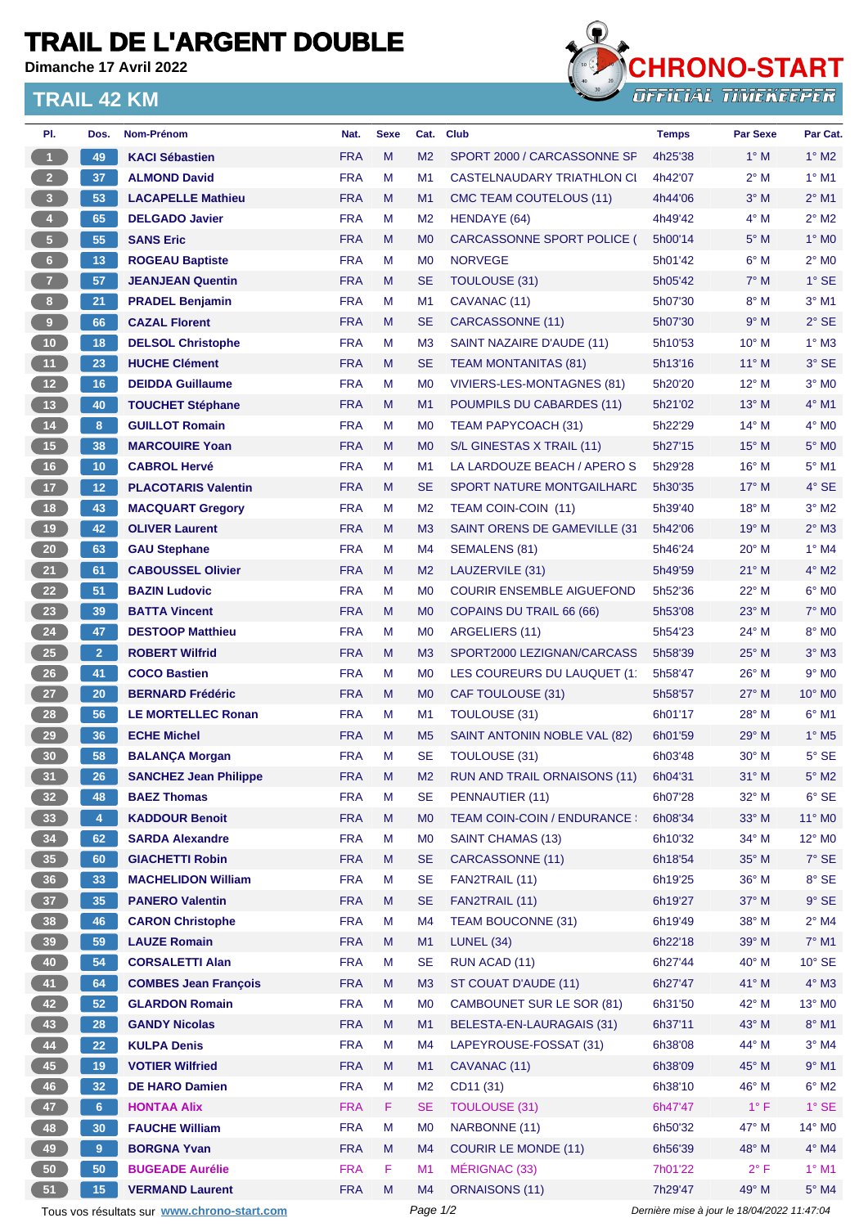## **TRAIL DE L'ARGENT DOUBLE**

**Dimanche 17 Avril 2022**

## **TRAIL 42 KM**



| PI.             | Dos.                    | Nom-Prénom                                  | Nat.       | <b>Sexe</b> | Cat.           | <b>Club</b>                        | <b>Temps</b>                                | <b>Par Sexe</b> | Par Cat.                 |
|-----------------|-------------------------|---------------------------------------------|------------|-------------|----------------|------------------------------------|---------------------------------------------|-----------------|--------------------------|
| $\overline{1}$  | 49                      | <b>KACI Sébastien</b>                       | <b>FRA</b> | M           | M <sub>2</sub> | SPORT 2000 / CARCASSONNE SF        | 4h25'38                                     | $1^\circ$ M     | $1^\circ$ M2             |
| $\overline{2}$  | 37                      | <b>ALMOND David</b>                         | <b>FRA</b> | M           | M1             | CASTELNAUDARY TRIATHLON CI         | 4h42'07                                     | $2^{\circ}$ M   | $1^\circ$ M1             |
| $\bullet$       | 53                      | <b>LACAPELLE Mathieu</b>                    | <b>FRA</b> | M           | M1             | CMC TEAM COUTELOUS (11)            | 4h44'06                                     | $3°$ M          | $2^{\circ}$ M1           |
| 4 <sup>1</sup>  | 65                      | <b>DELGADO Javier</b>                       | <b>FRA</b> | М           | M <sub>2</sub> | HENDAYE (64)                       | 4h49'42                                     | $4^\circ$ M     | $2^{\circ}$ M2           |
| $\sqrt{5}$      | 55                      | <b>SANS Eric</b>                            | <b>FRA</b> | M           | M <sub>0</sub> | <b>CARCASSONNE SPORT POLICE (</b>  | 5h00'14                                     | $5^\circ$ M     | $1^\circ$ MO             |
| $\,$ 6 $\,$     | 13                      | <b>ROGEAU Baptiste</b>                      | <b>FRA</b> | М           | M <sub>0</sub> | <b>NORVEGE</b>                     | 5h01'42                                     | $6^{\circ}$ M   | $2^{\circ}$ MO           |
| $\overline{7}$  | 57                      | <b>JEANJEAN Quentin</b>                     | <b>FRA</b> | M           | <b>SE</b>      | <b>TOULOUSE (31)</b>               | 5h05'42                                     | $7^\circ$ M     | $1^\circ$ SE             |
| 8 <sub>1</sub>  | 21                      | <b>PRADEL Benjamin</b>                      | <b>FRA</b> | M           | M1             | CAVANAC (11)                       | 5h07'30                                     | $8^\circ$ M     | $3°$ M1                  |
| $\overline{9}$  | 66                      | <b>CAZAL Florent</b>                        | <b>FRA</b> | M           | <b>SE</b>      | CARCASSONNE (11)                   | 5h07'30                                     | 9° M            | $2°$ SE                  |
| 10              | 18                      | <b>DELSOL Christophe</b>                    | <b>FRA</b> | М           | M <sub>3</sub> | SAINT NAZAIRE D'AUDE (11)          | 5h10'53                                     | $10^{\circ}$ M  | $1^\circ$ M3             |
| 11              | 23                      | <b>HUCHE Clément</b>                        | <b>FRA</b> | M           | <b>SE</b>      | <b>TEAM MONTANITAS (81)</b>        | 5h13'16                                     | $11^{\circ}$ M  | 3° SE                    |
| 12              | 16                      | <b>DEIDDA Guillaume</b>                     | <b>FRA</b> | М           | M <sub>0</sub> | VIVIERS-LES-MONTAGNES (81)         | 5h20'20                                     | $12^{\circ}$ M  | $3°$ MO                  |
| 13              | 40                      | <b>TOUCHET Stéphane</b>                     | <b>FRA</b> | M           | M1             | POUMPILS DU CABARDES (11)          | 5h21'02                                     | 13° M           | 4° M1                    |
| $14$            | 8                       | <b>GUILLOT Romain</b>                       | <b>FRA</b> | М           | M <sub>0</sub> | TEAM PAPYCOACH (31)                | 5h22'29                                     | $14^{\circ}$ M  | $4^\circ$ MO             |
| 15              | 38                      | <b>MARCOUIRE Yoan</b>                       | <b>FRA</b> | M           | M <sub>0</sub> | S/L GINESTAS X TRAIL (11)          | 5h27'15                                     | $15^{\circ}$ M  | $5^\circ$ MO             |
| 16              | 10 <sub>1</sub>         | <b>CABROL Hervé</b>                         | <b>FRA</b> | M           | M <sub>1</sub> | LA LARDOUZE BEACH / APERO S        | 5h29'28                                     | 16° M           | $5^\circ$ M1             |
| 17              | 12 <sub>2</sub>         | <b>PLACOTARIS Valentin</b>                  | <b>FRA</b> | M           | <b>SE</b>      | SPORT NATURE MONTGAILHARD          | 5h30'35                                     | $17^\circ$ M    | 4° SE                    |
| 18              | 43                      | <b>MACQUART Gregory</b>                     | <b>FRA</b> | М           | M <sub>2</sub> | TEAM COIN-COIN (11)                | 5h39'40                                     | $18^{\circ}$ M  | $3°$ M2                  |
| 19              | 42                      | <b>OLIVER Laurent</b>                       | <b>FRA</b> | M           | M <sub>3</sub> | SAINT ORENS DE GAMEVILLE (31       | 5h42'06                                     | $19^{\circ}$ M  | $2^{\circ}$ M3           |
| 20              | 63                      | <b>GAU Stephane</b>                         | <b>FRA</b> | М           | M4             | SEMALENS (81)                      | 5h46'24                                     | $20^{\circ}$ M  | $1^\circ$ M4             |
| 21              | 61                      | <b>CABOUSSEL Olivier</b>                    | <b>FRA</b> | M           | M <sub>2</sub> | LAUZERVILE (31)                    | 5h49'59                                     | $21°$ M         | $4^{\circ}$ M2           |
| 22              | 51                      | <b>BAZIN Ludovic</b>                        | <b>FRA</b> | M           | M <sub>0</sub> | <b>COURIR ENSEMBLE AIGUEFOND</b>   | 5h52'36                                     | 22° M           | $6°$ MO                  |
| 23              | 39                      | <b>BATTA Vincent</b>                        | <b>FRA</b> | M           | M <sub>0</sub> | COPAINS DU TRAIL 66 (66)           | 5h53'08                                     | $23^\circ$ M    | $7^\circ$ MO             |
| 24              | 47                      | <b>DESTOOP Matthieu</b>                     | <b>FRA</b> | М           | M <sub>0</sub> | ARGELIERS (11)                     | 5h54'23                                     | 24° M           | 8° MO                    |
| 25              | 2 <sup>1</sup>          | <b>ROBERT Wilfrid</b>                       | <b>FRA</b> | M           | M <sub>3</sub> | SPORT2000 LEZIGNAN/CARCASS         | 5h58'39                                     | $25^{\circ}$ M  | $3°$ M $3$               |
| 26              | 41                      | <b>COCO Bastien</b>                         | <b>FRA</b> | М           | M <sub>0</sub> | LES COUREURS DU LAUQUET (11        | 5h58'47                                     | $26^{\circ}$ M  | $9°$ MO                  |
| 27              | 20                      | <b>BERNARD Frédéric</b>                     | <b>FRA</b> | M           | M <sub>0</sub> | CAF TOULOUSE (31)                  | 5h58'57                                     | $27^\circ$ M    | 10° MO                   |
| 28              | 56                      | <b>LE MORTELLEC Ronan</b>                   | <b>FRA</b> | М           | M <sub>1</sub> | <b>TOULOUSE (31)</b>               | 6h01'17                                     | $28^{\circ}$ M  | $6^{\circ}$ M1           |
| 29              | 36                      | <b>ECHE Michel</b>                          | <b>FRA</b> | M           | M <sub>5</sub> | SAINT ANTONIN NOBLE VAL (82)       | 6h01'59                                     | 29° M           | $1^\circ$ M <sub>5</sub> |
| 30 <sub>o</sub> | 58                      | <b>BALANÇA Morgan</b>                       | <b>FRA</b> | М           | <b>SE</b>      | <b>TOULOUSE (31)</b>               | 6h03'48                                     | 30° M           | 5° SE                    |
| 31              | 26                      | <b>SANCHEZ Jean Philippe</b>                | <b>FRA</b> | M           | M <sub>2</sub> | RUN AND TRAIL ORNAISONS (11)       | 6h04'31                                     | $31^\circ$ M    | $5^\circ$ M2             |
| 32 <sub>2</sub> | 48                      | <b>BAEZ Thomas</b>                          | <b>FRA</b> | М           | SE             | PENNAUTIER (11)                    | 6h07'28                                     | $32^\circ$ M    | $6^{\circ}$ SE           |
| 33              | $\overline{\mathbf{4}}$ | <b>KADDOUR Benoit</b>                       | <b>FRA</b> | M           | M <sub>0</sub> | <b>TEAM COIN-COIN / ENDURANCE:</b> | 6h08'34                                     | 33° M           | 11° MO                   |
| 34              | 62                      | <b>SARDA Alexandre</b>                      | <b>FRA</b> | M           | M <sub>0</sub> | SAINT CHAMAS (13)                  | 6h10'32                                     | $34^\circ$ M    | $12^{\circ}$ MO          |
| 35              | 60                      | <b>GIACHETTI Robin</b>                      | <b>FRA</b> | M           | <b>SE</b>      | CARCASSONNE (11)                   | 6h18'54                                     | 35° M           | $7^\circ$ SE             |
| 36              | 33                      | <b>MACHELIDON William</b>                   | <b>FRA</b> | M           | <b>SE</b>      | FAN2TRAIL (11)                     | 6h19'25                                     | 36° M           | 8° SE                    |
| 37 <sup>°</sup> | 35                      | <b>PANERO Valentin</b>                      | <b>FRA</b> | M           | <b>SE</b>      | FAN2TRAIL (11)                     | 6h19'27                                     | 37° M           | $9°$ SE                  |
| 38              | 46                      | <b>CARON Christophe</b>                     | <b>FRA</b> | M           | M4             | <b>TEAM BOUCONNE (31)</b>          | 6h19'49                                     | 38° M           | $2^{\circ}$ M4           |
| 39              | 59                      | <b>LAUZE Romain</b>                         | <b>FRA</b> | M           | M1             | <b>LUNEL (34)</b>                  | 6h22'18                                     | 39° M           | $7^\circ$ M1             |
| 40              | 54                      | <b>CORSALETTI Alan</b>                      | <b>FRA</b> | M           | <b>SE</b>      | RUN ACAD (11)                      | 6h27'44                                     | 40° M           | $10^{\circ}$ SE          |
| 41              | 64                      | <b>COMBES Jean François</b>                 | <b>FRA</b> | M           | M <sub>3</sub> | ST COUAT D'AUDE (11)               | 6h27'47                                     | 41° M           | 4° M3                    |
| 42              | 52 <sub>2</sub>         | <b>GLARDON Romain</b>                       | <b>FRA</b> | М           | M <sub>0</sub> | <b>CAMBOUNET SUR LE SOR (81)</b>   | 6h31'50                                     | 42° M           | 13° MO                   |
| 43              | 28                      | <b>GANDY Nicolas</b>                        | <b>FRA</b> | Μ           | M <sub>1</sub> | BELESTA-EN-LAURAGAIS (31)          | 6h37'11                                     | 43° M           | $8^\circ$ M1             |
| 44              | 22                      | <b>KULPA Denis</b>                          | <b>FRA</b> | M           | M4             | LAPEYROUSE-FOSSAT (31)             | 6h38'08                                     | 44° M           | $3°$ M4                  |
| 45              | 19                      | <b>VOTIER Wilfried</b>                      | <b>FRA</b> | M           | M1             | CAVANAC (11)                       | 6h38'09                                     | 45° M           | $9°$ M1                  |
| 46              | 32                      | <b>DE HARO Damien</b>                       | <b>FRA</b> | M           | M <sub>2</sub> | CD11 (31)                          | 6h38'10                                     | 46° M           | $6^\circ$ M2             |
| 47              | 6 <sup>1</sup>          | <b>HONTAA Alix</b>                          | <b>FRA</b> | F           | <b>SE</b>      | <b>TOULOUSE (31)</b>               | 6h47'47                                     | $1^{\circ}$ F   | $1^\circ$ SE             |
| 48              | 30                      | <b>FAUCHE William</b>                       | <b>FRA</b> | M           | M <sub>0</sub> | NARBONNE (11)                      | 6h50'32                                     | 47° M           | $14^{\circ}$ MO          |
| 49              | 9                       | <b>BORGNA Yvan</b>                          | <b>FRA</b> | M           | M4             | <b>COURIR LE MONDE (11)</b>        | 6h56'39                                     | 48° M           | 4° M4                    |
| 50              | 50                      | <b>BUGEADE Aurélie</b>                      | <b>FRA</b> | F           | M1             | MÉRIGNAC (33)                      | 7h01'22                                     | $2^{\circ}$ F   | $1^\circ$ M1             |
| 51              | 15                      | <b>VERMAND Laurent</b>                      | <b>FRA</b> | M           | M4             | <b>ORNAISONS (11)</b>              | 7h29'47                                     | 49° M           | $5^\circ$ M4             |
|                 |                         | Tous vos résultats sur www.chrono-start.com |            |             | Page 1/2       |                                    | Dernière mise à jour le 18/04/2022 11:47:04 |                 |                          |
|                 |                         |                                             |            |             |                |                                    |                                             |                 |                          |